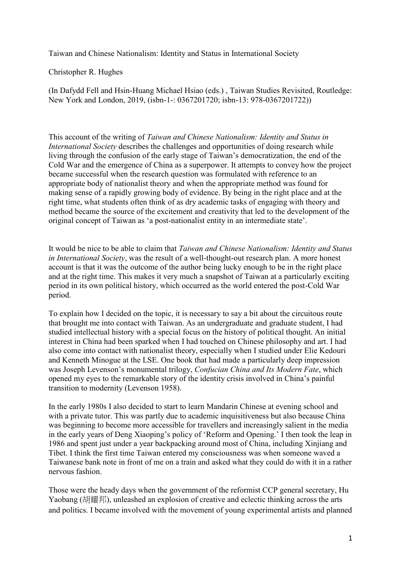Taiwan and Chinese Nationalism: Identity and Status in International Society

Christopher R. Hughes

(In Dafydd Fell and Hsin-Huang Michael Hsiao (eds.) , Taiwan Studies Revisited, Routledge: New York and London, 2019, (isbn-1-: 0367201720; isbn-13: 978-0367201722))

This account of the writing of *Taiwan and Chinese Nationalism: Identity and Status in International Society* describes the challenges and opportunities of doing research while living through the confusion of the early stage of Taiwan's democratization, the end of the Cold War and the emergence of China as a superpower. It attempts to convey how the project became successful when the research question was formulated with reference to an appropriate body of nationalist theory and when the appropriate method was found for making sense of a rapidly growing body of evidence. By being in the right place and at the right time, what students often think of as dry academic tasks of engaging with theory and method became the source of the excitement and creativity that led to the development of the original concept of Taiwan as 'a post-nationalist entity in an intermediate state'.

It would be nice to be able to claim that *Taiwan and Chinese Nationalism: Identity and Status in International Society*, was the result of a well-thought-out research plan. A more honest account is that it was the outcome of the author being lucky enough to be in the right place and at the right time. This makes it very much a snapshot of Taiwan at a particularly exciting period in its own political history, which occurred as the world entered the post-Cold War period.

To explain how I decided on the topic, it is necessary to say a bit about the circuitous route that brought me into contact with Taiwan. As an undergraduate and graduate student, I had studied intellectual history with a special focus on the history of political thought. An initial interest in China had been sparked when I had touched on Chinese philosophy and art. I had also come into contact with nationalist theory, especially when I studied under Elie Kedouri and Kenneth Minogue at the LSE. One book that had made a particularly deep impression was Joseph Levenson's monumental trilogy, *Confucian China and Its Modern Fate*, which opened my eyes to the remarkable story of the identity crisis involved in China's painful transition to modernity (Levenson 1958).

In the early 1980s I also decided to start to learn Mandarin Chinese at evening school and with a private tutor. This was partly due to academic inquisitiveness but also because China was beginning to become more accessible for travellers and increasingly salient in the media in the early years of Deng Xiaoping's policy of 'Reform and Opening.' I then took the leap in 1986 and spent just under a year backpacking around most of China, including Xinjiang and Tibet. I think the first time Taiwan entered my consciousness was when someone waved a Taiwanese bank note in front of me on a train and asked what they could do with it in a rather nervous fashion.

Those were the heady days when the government of the reformist CCP general secretary, Hu Yaobang (胡耀邦), unleashed an explosion of creative and eclectic thinking across the arts and politics. I became involved with the movement of young experimental artists and planned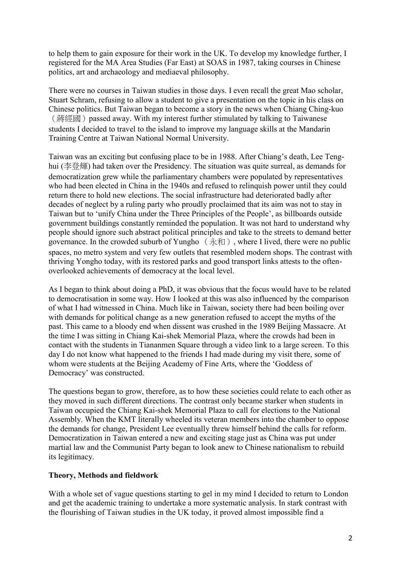to help them to gain exposure for their work in the UK. To develop my knowledge further, I registered for the MA Area Studies (Far East) at SOAS in 1987, taking courses in Chinese politics, art and archaeology and mediaeval philosophy.

There were no courses in Taiwan studies in those days. I even recall the great Mao scholar, Stuart Schram, refusing to allow a student to give a presentation on the topic in his class on Chinese politics. But Taiwan began to become a story in the news when Chiang Ching-kuo (蔣經國) passed away. With my interest further stimulated by talking to Taiwanese students I decided to travel to the island to improve my language skills at the Mandarin Training Centre at Taiwan National Normal University.

Taiwan was an exciting but confusing place to be in 1988. After Chiang's death, Lee Tenghui (李登輝) had taken over the Presidency. The situation was quite surreal, as demands for democratization grew while the parliamentary chambers were populated by representatives who had been elected in China in the 1940s and refused to relinquish power until they could return there to hold new elections. The social infrastructure had deteriorated badly after decades of neglect by a ruling party who proudly proclaimed that its aim was not to stay in Taiwan but to 'unify China under the Three Principles of the People', as billboards outside government buildings constantly reminded the population. It was not hard to understand why people should ignore such abstract political principles and take to the streets to demand better governance. In the crowded suburb of Yungho  $(\text{商})$ , where I lived, there were no public spaces, no metro system and very few outlets that resembled modern shops. The contrast with thriving Yongho today, with its restored parks and good transport links attests to the oftenoverlooked achievements of democracy at the local level.

As I began to think about doing a PhD, it was obvious that the focus would have to be related to democratisation in some way. How I looked at this was also influenced by the comparison of what I had witnessed in China. Much like in Taiwan, society there had been boiling over with demands for political change as a new generation refused to accept the myths of the past. This came to a bloody end when dissent was crushed in the 1989 Beijing Massacre. At the time I was sitting in Chiang Kai-shek Memorial Plaza, where the crowds had been in contact with the students in Tiananmen Square through a video link to a large screen. To this day I do not know what happened to the friends I had made during my visit there, some of whom were students at the Beijing Academy of Fine Arts, where the 'Goddess of Democracy' was constructed.

The questions began to grow, therefore, as to how these societies could relate to each other as they moved in such different directions. The contrast only became starker when students in Taiwan occupied the Chiang Kai-shek Memorial Plaza to call for elections to the National Assembly. When the KMT literally wheeled its veteran members into the chamber to oppose the demands for change, President Lee eventually threw himself behind the calls for reform. Democratization in Taiwan entered a new and exciting stage just as China was put under martial law and the Communist Party began to look anew to Chinese nationalism to rebuild its legitimacy.

## **Theory, Methods and fieldwork**

With a whole set of vague questions starting to gel in my mind I decided to return to London and get the academic training to undertake a more systematic analysis. In stark contrast with the flourishing of Taiwan studies in the UK today, it proved almost impossible find a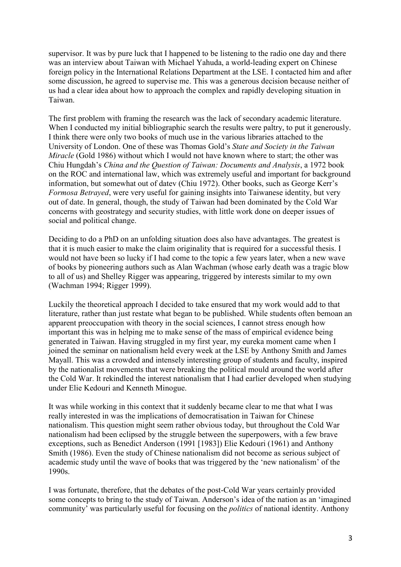supervisor. It was by pure luck that I happened to be listening to the radio one day and there was an interview about Taiwan with Michael Yahuda, a world-leading expert on Chinese foreign policy in the International Relations Department at the LSE. I contacted him and after some discussion, he agreed to supervise me. This was a generous decision because neither of us had a clear idea about how to approach the complex and rapidly developing situation in Taiwan.

The first problem with framing the research was the lack of secondary academic literature. When I conducted my initial bibliographic search the results were paltry, to put it generously. I think there were only two books of much use in the various libraries attached to the University of London. One of these was Thomas Gold's *State and Society in the Taiwan Miracle* (Gold 1986) without which I would not have known where to start; the other was Chiu Hungdah's *China and the Question of Taiwan: Documents and Analysis*, a 1972 book on the ROC and international law, which was extremely useful and important for background information, but somewhat out of datev (Chiu 1972). Other books, such as George Kerr's *Formosa Betrayed*, were very useful for gaining insights into Taiwanese identity, but very out of date. In general, though, the study of Taiwan had been dominated by the Cold War concerns with geostrategy and security studies, with little work done on deeper issues of social and political change.

Deciding to do a PhD on an unfolding situation does also have advantages. The greatest is that it is much easier to make the claim originality that is required for a successful thesis. I would not have been so lucky if I had come to the topic a few years later, when a new wave of books by pioneering authors such as Alan Wachman (whose early death was a tragic blow to all of us) and Shelley Rigger was appearing, triggered by interests similar to my own (Wachman 1994; Rigger 1999).

Luckily the theoretical approach I decided to take ensured that my work would add to that literature, rather than just restate what began to be published. While students often bemoan an apparent preoccupation with theory in the social sciences, I cannot stress enough how important this was in helping me to make sense of the mass of empirical evidence being generated in Taiwan. Having struggled in my first year, my eureka moment came when I joined the seminar on nationalism held every week at the LSE by Anthony Smith and James Mayall. This was a crowded and intensely interesting group of students and faculty, inspired by the nationalist movements that were breaking the political mould around the world after the Cold War. It rekindled the interest nationalism that I had earlier developed when studying under Elie Kedouri and Kenneth Minogue.

It was while working in this context that it suddenly became clear to me that what I was really interested in was the implications of democratisation in Taiwan for Chinese nationalism. This question might seem rather obvious today, but throughout the Cold War nationalism had been eclipsed by the struggle between the superpowers, with a few brave exceptions, such as Benedict Anderson (1991 [1983]) Elie Kedouri (1961) and Anthony Smith (1986). Even the study of Chinese nationalism did not become as serious subject of academic study until the wave of books that was triggered by the 'new nationalism' of the 1990s.

I was fortunate, therefore, that the debates of the post-Cold War years certainly provided some concepts to bring to the study of Taiwan. Anderson's idea of the nation as an 'imagined community' was particularly useful for focusing on the *politics* of national identity. Anthony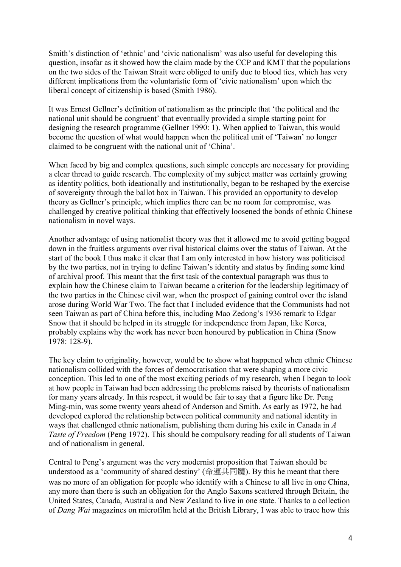Smith's distinction of 'ethnic' and 'civic nationalism' was also useful for developing this question, insofar as it showed how the claim made by the CCP and KMT that the populations on the two sides of the Taiwan Strait were obliged to unify due to blood ties, which has very different implications from the voluntaristic form of 'civic nationalism' upon which the liberal concept of citizenship is based (Smith 1986).

It was Ernest Gellner's definition of nationalism as the principle that 'the political and the national unit should be congruent' that eventually provided a simple starting point for designing the research programme (Gellner 1990: 1). When applied to Taiwan, this would become the question of what would happen when the political unit of 'Taiwan' no longer claimed to be congruent with the national unit of 'China'.

When faced by big and complex questions, such simple concepts are necessary for providing a clear thread to guide research. The complexity of my subject matter was certainly growing as identity politics, both ideationally and institutionally, began to be reshaped by the exercise of sovereignty through the ballot box in Taiwan. This provided an opportunity to develop theory as Gellner's principle, which implies there can be no room for compromise, was challenged by creative political thinking that effectively loosened the bonds of ethnic Chinese nationalism in novel ways.

Another advantage of using nationalist theory was that it allowed me to avoid getting bogged down in the fruitless arguments over rival historical claims over the status of Taiwan. At the start of the book I thus make it clear that I am only interested in how history was politicised by the two parties, not in trying to define Taiwan's identity and status by finding some kind of archival proof. This meant that the first task of the contextual paragraph was thus to explain how the Chinese claim to Taiwan became a criterion for the leadership legitimacy of the two parties in the Chinese civil war, when the prospect of gaining control over the island arose during World War Two. The fact that I included evidence that the Communists had not seen Taiwan as part of China before this, including Mao Zedong's 1936 remark to Edgar Snow that it should be helped in its struggle for independence from Japan, like Korea, probably explains why the work has never been honoured by publication in China (Snow 1978: 128-9).

The key claim to originality, however, would be to show what happened when ethnic Chinese nationalism collided with the forces of democratisation that were shaping a more civic conception. This led to one of the most exciting periods of my research, when I began to look at how people in Taiwan had been addressing the problems raised by theorists of nationalism for many years already. In this respect, it would be fair to say that a figure like Dr. Peng Ming-min, was some twenty years ahead of Anderson and Smith. As early as 1972, he had developed explored the relationship between political community and national identity in ways that challenged ethnic nationalism, publishing them during his exile in Canada in *A Taste of Freedom* (Peng 1972). This should be compulsory reading for all students of Taiwan and of nationalism in general.

Central to Peng's argument was the very modernist proposition that Taiwan should be understood as a 'community of shared destiny' (命運共同體). By this he meant that there was no more of an obligation for people who identify with a Chinese to all live in one China, any more than there is such an obligation for the Anglo Saxons scattered through Britain, the United States, Canada, Australia and New Zealand to live in one state. Thanks to a collection of *Dang Wai* magazines on microfilm held at the British Library, I was able to trace how this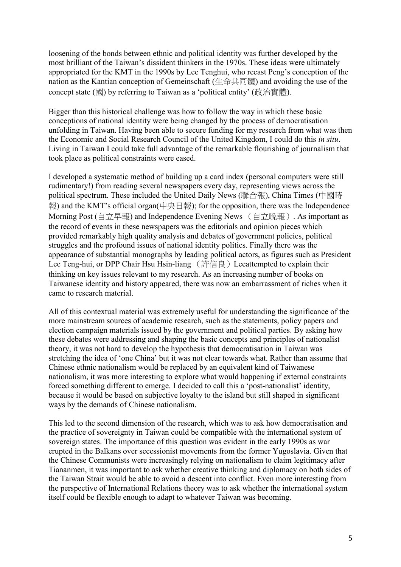loosening of the bonds between ethnic and political identity was further developed by the most brilliant of the Taiwan's dissident thinkers in the 1970s. These ideas were ultimately appropriated for the KMT in the 1990s by Lee Tenghui, who recast Peng's conception of the nation as the Kantian conception of Gemeinschaft (生命共同體) and avoiding the use of the concept state (國) by referring to Taiwan as a 'political entity' (政治實體).

Bigger than this historical challenge was how to follow the way in which these basic conceptions of national identity were being changed by the process of democratisation unfolding in Taiwan. Having been able to secure funding for my research from what was then the Economic and Social Research Council of the United Kingdom, I could do this *in situ*. Living in Taiwan I could take full advantage of the remarkable flourishing of journalism that took place as political constraints were eased.

I developed a systematic method of building up a card index (personal computers were still rudimentary!) from reading several newspapers every day, representing views across the political spectrum. These included the United Daily News (聯合報), China Times (中國時 報) and the KMT's official organ(中央日報); for the opposition, there was the Independence Morning Post (自立早報) and Independence Evening News (自立晚報). As important as the record of events in these newspapers was the editorials and opinion pieces which provided remarkably high quality analysis and debates of government policies, political struggles and the profound issues of national identity politics. Finally there was the appearance of substantial monographs by leading political actors, as figures such as President Lee Teng-hui, or DPP Chair Hsu Hsin-liang (許信良) Leeattempted to explain their thinking on key issues relevant to my research. As an increasing number of books on Taiwanese identity and history appeared, there was now an embarrassment of riches when it came to research material.

All of this contextual material was extremely useful for understanding the significance of the more mainstream sources of academic research, such as the statements, policy papers and election campaign materials issued by the government and political parties. By asking how these debates were addressing and shaping the basic concepts and principles of nationalist theory, it was not hard to develop the hypothesis that democratisation in Taiwan was stretching the idea of 'one China' but it was not clear towards what. Rather than assume that Chinese ethnic nationalism would be replaced by an equivalent kind of Taiwanese nationalism, it was more interesting to explore what would happening if external constraints forced something different to emerge. I decided to call this a 'post-nationalist' identity, because it would be based on subjective loyalty to the island but still shaped in significant ways by the demands of Chinese nationalism.

This led to the second dimension of the research, which was to ask how democratisation and the practice of sovereignty in Taiwan could be compatible with the international system of sovereign states. The importance of this question was evident in the early 1990s as war erupted in the Balkans over secessionist movements from the former Yugoslavia. Given that the Chinese Communists were increasingly relying on nationalism to claim legitimacy after Tiananmen, it was important to ask whether creative thinking and diplomacy on both sides of the Taiwan Strait would be able to avoid a descent into conflict. Even more interesting from the perspective of International Relations theory was to ask whether the international system itself could be flexible enough to adapt to whatever Taiwan was becoming.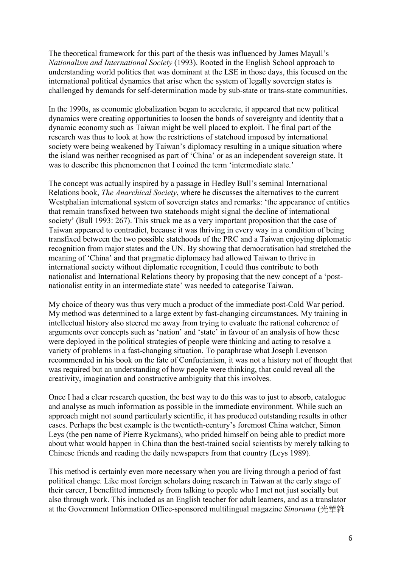The theoretical framework for this part of the thesis was influenced by James Mayall's *Nationalism and International Society* (1993). Rooted in the English School approach to understanding world politics that was dominant at the LSE in those days, this focused on the international political dynamics that arise when the system of legally sovereign states is challenged by demands for self-determination made by sub-state or trans-state communities.

In the 1990s, as economic globalization began to accelerate, it appeared that new political dynamics were creating opportunities to loosen the bonds of sovereignty and identity that a dynamic economy such as Taiwan might be well placed to exploit. The final part of the research was thus to look at how the restrictions of statehood imposed by international society were being weakened by Taiwan's diplomacy resulting in a unique situation where the island was neither recognised as part of 'China' or as an independent sovereign state. It was to describe this phenomenon that I coined the term 'intermediate state.'

The concept was actually inspired by a passage in Hedley Bull's seminal International Relations book, *The Anarchical Society*, where he discusses the alternatives to the current Westphalian international system of sovereign states and remarks: 'the appearance of entities that remain transfixed between two statehoods might signal the decline of international society' (Bull 1993: 267). This struck me as a very important proposition that the case of Taiwan appeared to contradict, because it was thriving in every way in a condition of being transfixed between the two possible statehoods of the PRC and a Taiwan enjoying diplomatic recognition from major states and the UN. By showing that democratisation had stretched the meaning of 'China' and that pragmatic diplomacy had allowed Taiwan to thrive in international society without diplomatic recognition, I could thus contribute to both nationalist and International Relations theory by proposing that the new concept of a 'postnationalist entity in an intermediate state' was needed to categorise Taiwan.

My choice of theory was thus very much a product of the immediate post-Cold War period. My method was determined to a large extent by fast-changing circumstances. My training in intellectual history also steered me away from trying to evaluate the rational coherence of arguments over concepts such as 'nation' and 'state' in favour of an analysis of how these were deployed in the political strategies of people were thinking and acting to resolve a variety of problems in a fast-changing situation. To paraphrase what Joseph Levenson recommended in his book on the fate of Confucianism, it was not a history not of thought that was required but an understanding of how people were thinking, that could reveal all the creativity, imagination and constructive ambiguity that this involves.

Once I had a clear research question, the best way to do this was to just to absorb, catalogue and analyse as much information as possible in the immediate environment. While such an approach might not sound particularly scientific, it has produced outstanding results in other cases. Perhaps the best example is the twentieth-century's foremost China watcher, Simon Leys (the pen name of Pierre Ryckmans), who prided himself on being able to predict more about what would happen in China than the best-trained social scientists by merely talking to Chinese friends and reading the daily newspapers from that country (Leys 1989).

This method is certainly even more necessary when you are living through a period of fast political change. Like most foreign scholars doing research in Taiwan at the early stage of their career, I benefitted immensely from talking to people who I met not just socially but also through work. This included as an English teacher for adult learners, and as a translator at the Government Information Office-sponsored multilingual magazine *Sinorama* (光華雜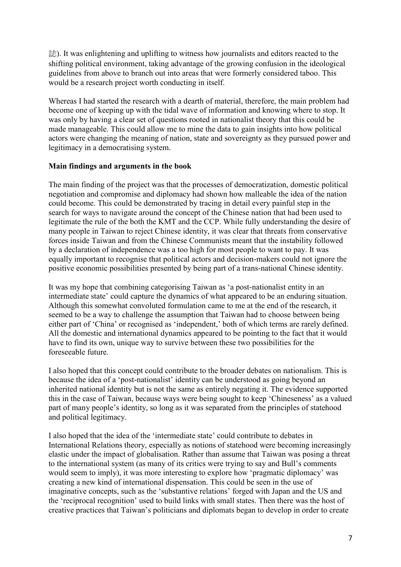誌). It was enlightening and uplifting to witness how journalists and editors reacted to the shifting political environment, taking advantage of the growing confusion in the ideological guidelines from above to branch out into areas that were formerly considered taboo. This would be a research project worth conducting in itself.

Whereas I had started the research with a dearth of material, therefore, the main problem had become one of keeping up with the tidal wave of information and knowing where to stop. It was only by having a clear set of questions rooted in nationalist theory that this could be made manageable. This could allow me to mine the data to gain insights into how political actors were changing the meaning of nation, state and sovereignty as they pursued power and legitimacy in a democratising system.

## **Main findings and arguments in the book**

The main finding of the project was that the processes of democratization, domestic political negotiation and compromise and diplomacy had shown how malleable the idea of the nation could become. This could be demonstrated by tracing in detail every painful step in the search for ways to navigate around the concept of the Chinese nation that had been used to legitimate the rule of the both the KMT and the CCP. While fully understanding the desire of many people in Taiwan to reject Chinese identity, it was clear that threats from conservative forces inside Taiwan and from the Chinese Communists meant that the instability followed by a declaration of independence was a too high for most people to want to pay. It was equally important to recognise that political actors and decision-makers could not ignore the positive economic possibilities presented by being part of a trans-national Chinese identity.

It was my hope that combining categorising Taiwan as 'a post-nationalist entity in an intermediate state' could capture the dynamics of what appeared to be an enduring situation. Although this somewhat convoluted formulation came to me at the end of the research, it seemed to be a way to challenge the assumption that Taiwan had to choose between being either part of 'China' or recognised as 'independent,' both of which terms are rarely defined. All the domestic and international dynamics appeared to be pointing to the fact that it would have to find its own, unique way to survive between these two possibilities for the foreseeable future.

I also hoped that this concept could contribute to the broader debates on nationalism. This is because the idea of a 'post-nationalist' identity can be understood as going beyond an inherited national identity but is not the same as entirely negating it. The evidence supported this in the case of Taiwan, because ways were being sought to keep 'Chineseness' as a valued part of many people's identity, so long as it was separated from the principles of statehood and political legitimacy.

I also hoped that the idea of the 'intermediate state' could contribute to debates in International Relations theory, especially as notions of statehood were becoming increasingly elastic under the impact of globalisation. Rather than assume that Taiwan was posing a threat to the international system (as many of its critics were trying to say and Bull's comments would seem to imply), it was more interesting to explore how 'pragmatic diplomacy' was creating a new kind of international dispensation. This could be seen in the use of imaginative concepts, such as the 'substantive relations' forged with Japan and the US and the 'reciprocal recognition' used to build links with small states. Then there was the host of creative practices that Taiwan's politicians and diplomats began to develop in order to create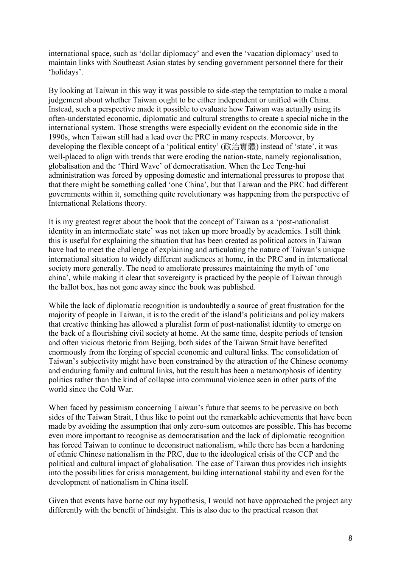international space, such as 'dollar diplomacy' and even the 'vacation diplomacy' used to maintain links with Southeast Asian states by sending government personnel there for their 'holidays'.

By looking at Taiwan in this way it was possible to side-step the temptation to make a moral judgement about whether Taiwan ought to be either independent or unified with China. Instead, such a perspective made it possible to evaluate how Taiwan was actually using its often-understated economic, diplomatic and cultural strengths to create a special niche in the international system. Those strengths were especially evident on the economic side in the 1990s, when Taiwan still had a lead over the PRC in many respects. Moreover, by developing the flexible concept of a 'political entity' (政治實體) instead of 'state', it was well-placed to align with trends that were eroding the nation-state, namely regionalisation, globalisation and the 'Third Wave' of democratisation. When the Lee Teng-hui administration was forced by opposing domestic and international pressures to propose that that there might be something called 'one China', but that Taiwan and the PRC had different governments within it, something quite revolutionary was happening from the perspective of International Relations theory.

It is my greatest regret about the book that the concept of Taiwan as a 'post-nationalist identity in an intermediate state' was not taken up more broadly by academics. I still think this is useful for explaining the situation that has been created as political actors in Taiwan have had to meet the challenge of explaining and articulating the nature of Taiwan's unique international situation to widely different audiences at home, in the PRC and in international society more generally. The need to ameliorate pressures maintaining the myth of 'one china', while making it clear that sovereignty is practiced by the people of Taiwan through the ballot box, has not gone away since the book was published.

While the lack of diplomatic recognition is undoubtedly a source of great frustration for the majority of people in Taiwan, it is to the credit of the island's politicians and policy makers that creative thinking has allowed a pluralist form of post-nationalist identity to emerge on the back of a flourishing civil society at home. At the same time, despite periods of tension and often vicious rhetoric from Beijing, both sides of the Taiwan Strait have benefited enormously from the forging of special economic and cultural links. The consolidation of Taiwan's subjectivity might have been constrained by the attraction of the Chinese economy and enduring family and cultural links, but the result has been a metamorphosis of identity politics rather than the kind of collapse into communal violence seen in other parts of the world since the Cold War.

When faced by pessimism concerning Taiwan's future that seems to be pervasive on both sides of the Taiwan Strait, I thus like to point out the remarkable achievements that have been made by avoiding the assumption that only zero-sum outcomes are possible. This has become even more important to recognise as democratisation and the lack of diplomatic recognition has forced Taiwan to continue to deconstruct nationalism, while there has been a hardening of ethnic Chinese nationalism in the PRC, due to the ideological crisis of the CCP and the political and cultural impact of globalisation. The case of Taiwan thus provides rich insights into the possibilities for crisis management, building international stability and even for the development of nationalism in China itself.

Given that events have borne out my hypothesis, I would not have approached the project any differently with the benefit of hindsight. This is also due to the practical reason that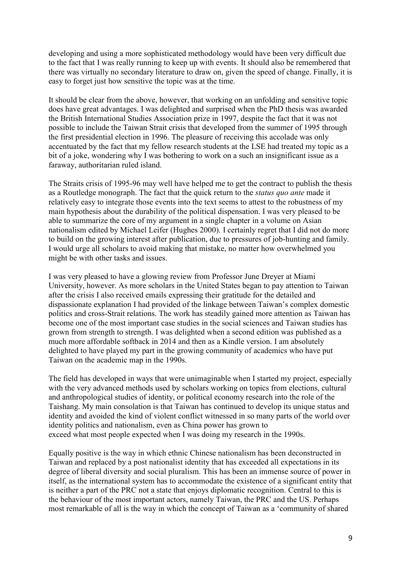developing and using a more sophisticated methodology would have been very difficult due to the fact that I was really running to keep up with events. It should also be remembered that there was virtually no secondary literature to draw on, given the speed of change. Finally, it is easy to forget just how sensitive the topic was at the time.

It should be clear from the above, however, that working on an unfolding and sensitive topic does have great advantages. I was delighted and surprised when the PhD thesis was awarded the British International Studies Association prize in 1997, despite the fact that it was not possible to include the Taiwan Strait crisis that developed from the summer of 1995 through the first presidential election in 1996. The pleasure of receiving this accolade was only accentuated by the fact that my fellow research students at the LSE had treated my topic as a bit of a joke, wondering why I was bothering to work on a such an insignificant issue as a faraway, authoritarian ruled island.

The Straits crisis of 1995-96 may well have helped me to get the contract to publish the thesis as a Routledge monograph. The fact that the quick return to the *status quo ante* made it relatively easy to integrate those events into the text seems to attest to the robustness of my main hypothesis about the durability of the political dispensation. I was very pleased to be able to summarize the core of my argument in a single chapter in a volume on Asian nationalism edited by Michael Leifer (Hughes 2000). I certainly regret that I did not do more to build on the growing interest after publication, due to pressures of job-hunting and family. I would urge all scholars to avoid making that mistake, no matter how overwhelmed you might be with other tasks and issues.

I was very pleased to have a glowing review from Professor June Dreyer at Miami University, however. As more scholars in the United States began to pay attention to Taiwan after the crisis I also received emails expressing their gratitude for the detailed and dispassionate explanation I had provided of the linkage between Taiwan's complex domestic politics and cross-Strait relations. The work has steadily gained more attention as Taiwan has become one of the most important case studies in the social sciences and Taiwan studies has grown from strength to strength. I was delighted when a second edition was published as a much more affordable softback in 2014 and then as a Kindle version. I am absolutely delighted to have played my part in the growing community of academics who have put Taiwan on the academic map in the 1990s.

The field has developed in ways that were unimaginable when I started my project, especially with the very advanced methods used by scholars working on topics from elections, cultural and anthropological studies of identity, or political economy research into the role of the Taishang. My main consolation is that Taiwan has continued to develop its unique status and identity and avoided the kind of violent conflict witnessed in so many parts of the world over identity politics and nationalism, even as China power has grown to exceed what most people expected when I was doing my research in the 1990s.

Equally positive is the way in which ethnic Chinese nationalism has been deconstructed in Taiwan and replaced by a post nationalist identity that has exceeded all expectations in its degree of liberal diversity and social pluralism. This has been an immense source of power in itself, as the international system has to accommodate the existence of a significant entity that is neither a part of the PRC not a state that enjoys diplomatic recognition. Central to this is the behaviour of the most important actors, namely Taiwan, the PRC and the US. Perhaps most remarkable of all is the way in which the concept of Taiwan as a 'community of shared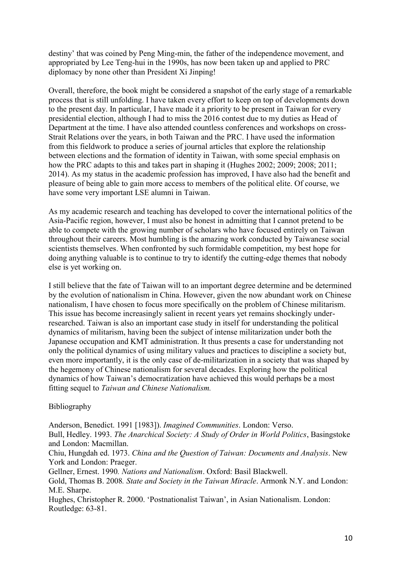destiny' that was coined by Peng Ming-min, the father of the independence movement, and appropriated by Lee Teng-hui in the 1990s, has now been taken up and applied to PRC diplomacy by none other than President Xi Jinping!

Overall, therefore, the book might be considered a snapshot of the early stage of a remarkable process that is still unfolding. I have taken every effort to keep on top of developments down to the present day. In particular, I have made it a priority to be present in Taiwan for every presidential election, although I had to miss the 2016 contest due to my duties as Head of Department at the time. I have also attended countless conferences and workshops on cross-Strait Relations over the years, in both Taiwan and the PRC. I have used the information from this fieldwork to produce a series of journal articles that explore the relationship between elections and the formation of identity in Taiwan, with some special emphasis on how the PRC adapts to this and takes part in shaping it (Hughes 2002; 2009; 2008; 2011; 2014). As my status in the academic profession has improved, I have also had the benefit and pleasure of being able to gain more access to members of the political elite. Of course, we have some very important LSE alumni in Taiwan.

As my academic research and teaching has developed to cover the international politics of the Asia-Pacific region, however, I must also be honest in admitting that I cannot pretend to be able to compete with the growing number of scholars who have focused entirely on Taiwan throughout their careers. Most humbling is the amazing work conducted by Taiwanese social scientists themselves. When confronted by such formidable competition, my best hope for doing anything valuable is to continue to try to identify the cutting-edge themes that nobody else is yet working on.

I still believe that the fate of Taiwan will to an important degree determine and be determined by the evolution of nationalism in China. However, given the now abundant work on Chinese nationalism, I have chosen to focus more specifically on the problem of Chinese militarism. This issue has become increasingly salient in recent years yet remains shockingly underresearched. Taiwan is also an important case study in itself for understanding the political dynamics of militarism, having been the subject of intense militarization under both the Japanese occupation and KMT administration. It thus presents a case for understanding not only the political dynamics of using military values and practices to discipline a society but, even more importantly, it is the only case of de-militarization in a society that was shaped by the hegemony of Chinese nationalism for several decades. Exploring how the political dynamics of how Taiwan's democratization have achieved this would perhaps be a most fitting sequel to *Taiwan and Chinese Nationalism.*

## Bibliography

Anderson, Benedict. 1991 [1983]). *Imagined Communities*. London: Verso. Bull, Hedley. 1993. *The Anarchical Society: A Study of Order in World Politics*, Basingstoke and London: Macmillan. Chiu, Hungdah ed. 1973. *China and the Question of Taiwan: Documents and Analysis*. New York and London: Praeger. Gellner, Ernest. 1990*. Nations and Nationalism*. Oxford: Basil Blackwell. Gold, Thomas B. 2008*. State and Society in the Taiwan Miracle*. Armonk N.Y. and London: M.E. Sharpe. Hughes, Christopher R. 2000. 'Postnationalist Taiwan', in Asian Nationalism. London: Routledge: 63-81.